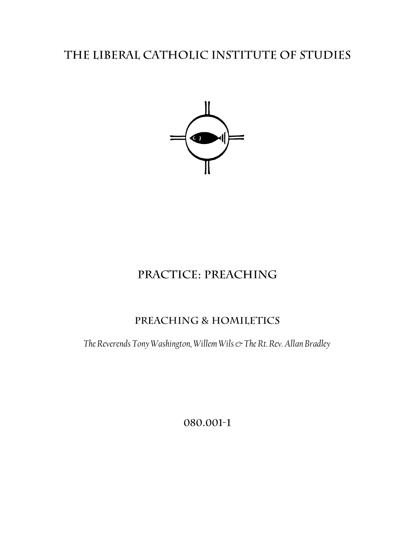# THE LIBERAL CATHOLIC INSTITUTE OF STUDIES



# PRACTICE: PREACHING

## PREACHING & HOMILETICS

*The Reverends Tony Washington, Willem Wils & The Rt. Rev. Allan Bradley*

080.001-1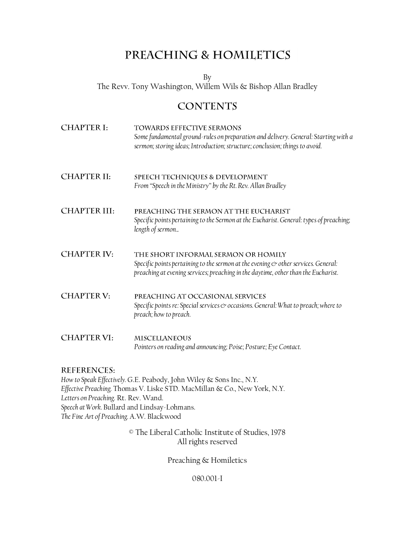## PREACHING & HOMILETICS

By The Revv. Tony Washington, Willem Wils & Bishop Allan Bradley

## **CONTENTS**

**CHAPTER I:** TOWARDS EFFECTIVE SERMONS *Some fundamental ground-rules on preparation and delivery. General: Starting with a sermon; storing ideas; Introduction; structure; conclusion; things to avoid.* **CHAPTER II:** SPEECH TECHNIQUES & DEVELOPMENT *From "Speech in the Ministry" by the Rt. Rev. Allan Bradley* **CHAPTER III:** PREACHING THE SERMON AT THE EUCHARIST *Specific points pertaining to the Sermon at the Eucharist. General: types of preaching; length of sermon.* **CHAPTER IV:** THE SHORT INFORMAL SERMON OR HOMILY *Specific points pertaining to the sermon at the evening*  $\infty$  *other services. General: preaching at evening services; preaching in the daytime, other than the Eucharist.* **CHAPTER V:** PREACHING AT OCCASIONAL SERVICES *Specific points re: Special services & occasions. General: What to preach; where to preach; how to preach.* **CHAPTER VI: MISCELLANEOUS** *Pointers on reading and announcing; Poise; Posture; Eye Contact.*

## **REFERENCES:**

*How to Speak Effectively.* G.E. Peabody, John Wiley & Sons Inc., N.Y. *Effective Preaching.* Thomas V. Liske STD. MacMillan & Co., New York, N.Y. *Letters on Preaching.* Rt. Rev. Wand. *Speech at Work.* Bullard and Lindsay-Lohmans. *The Fine Art of Preaching.* A.W. Blackwood

> © The Liberal Catholic Institute of Studies, 1978 All rights reserved

> > Preaching & Homiletics

080.001-I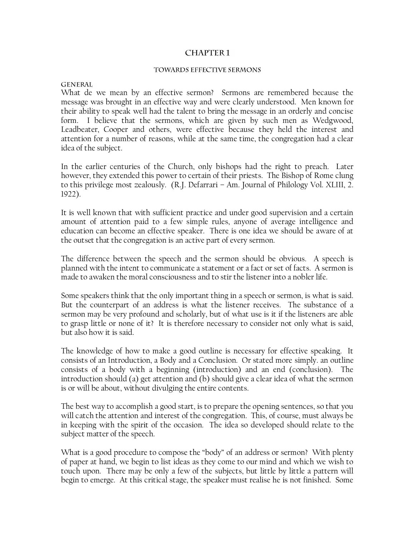## **CHAPTER 1**

#### TOWARDS EFFECTIVE SERMONS

#### **GENERAL**

What de we mean by an effective sermon? Sermons are remembered because the message was brought in an effective way and were clearly understood. Men known for their ability to speak well had the talent to bring the message in an orderly and concise form. I believe that the sermons, which are given by such men as Wedgwood, Leadbeater, Cooper and others, were effective because they held the interest and attention for a number of reasons, while at the same time, the congregation had a clear idea of the subject.

In the earlier centuries of the Church, only bishops had the right to preach. Later however, they extended this power to certain of their priests. The Bishop of Rome clung to this privilege most zealously. (R.J. Defarrari – Am. Journal of Philology Vol. XLIII, 2. 1922).

It is well known that with sufficient practice and under good supervision and a certain amount of attention paid to a few simple rules, anyone of average intelligence and education can become an effective speaker. There is one idea we should be aware of at the outset that the congregation is an active part of every sermon.

The difference between the speech and the sermon should be obvious. A speech is planned with the intent to communicate a statement or a fact or set of facts. A sermon is made to awaken the moral consciousness and to stir the listener into a nobler life.

Some speakers think that the only important thing in a speech or sermon, is what is said. But the counterpart of an address is what the listener receives. The substance of a sermon may be very profound and scholarly, but of what use is it if the listeners are able to grasp little or none of it? It is therefore necessary to consider not only what is said, but also how it is said.

The knowledge of how to make a good outline is necessary for effective speaking. It consists of an Introduction, a Body and a Conclusion. Or stated more simply. an outline consists of a body with a beginning (introduction) and an end (conclusion). The introduction should (a) get attention and (b) should give a clear idea of what the sermon is or will be about, without divulging the entire contents.

The best way to accomplish a good start, is to prepare the opening sentences, so that you will catch the attention and interest of the congregation. This, of course, must always be in keeping with the spirit of the occasion. The idea so developed should relate to the subject matter of the speech.

What is a good procedure to compose the "body" of an address or sermon? With plenty of paper at hand, we begin to list ideas as they come to our mind and which we wish to touch upon. There may be only a few of the subjects, but little by little a pattern will begin to emerge. At this critical stage, the speaker must realise he is not finished. Some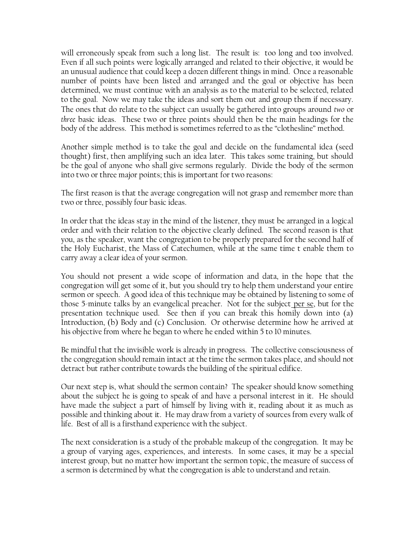will erroneously speak from such a long list. The result is: too long and too involved. Even if all such points were logically arranged and related to their objective, it would be an unusual audience that could keep a dozen different things in mind. Once a reasonable number of points have been listed and arranged and the goal or objective has been determined, we must continue with an analysis as to the material to be selected, related to the goal. Now we may take the ideas and sort them out and group them if necessary. The ones that do relate to the subject can usually be gathered into groups around *two* or *three* basic ideas. These two or three points should then be the main headings for the body of the address. This method is sometimes referred to as the "clothesline" method.

Another simple method is to take the goal and decide on the fundamental idea (seed thought) first, then amplifying such an idea later. This takes some training, but should be the goal of anyone who shall give sermons regularly. Divide the body of the sermon into two or three major points; this is important for two reasons:

The first reason is that the average congregation will not grasp and remember more than two or three, possibly four basic ideas.

In order that the ideas stay in the mind of the listener, they must be arranged in a logical order and with their relation to the objective clearly defined. The second reason is that you, as the speaker, want the congregation to be properly prepared for the second half of the Holy Eucharist, the Mass of Catechumen, while at the same time t enable them to carry away a clear idea of your sermon.

You should not present a wide scope of information and data, in the hope that the congregation will get some of it, but you should try to help them understand your entire sermon or speech. A good idea of this technique may be obtained by listening to some of those 5-minute talks by an evangelical preacher. Not for the subject per se, but for the presentation technique used. See then if you can break this homily down into (a) Introduction, (b) Body and (c) Conclusion. Or otherwise determine how he arrived at his objective from where he began to where he ended within 5 to 10 minutes.

Be mindful that the invisible work is already in progress. The collective consciousness of the congregation should remain intact at the time the sermon takes place, and should not detract but rather contribute towards the building of the spiritual edifice.

Our next step is, what should the sermon contain? The speaker should know something about the subject he is going to speak of and have a personal interest in it. He should have made the subject a part of himself by living with it, reading about it as much as possible and thinking about it. He may draw from a variety of sources from every walk of life. Best of all is a firsthand experience with the subject.

The next consideration is a study of the probable makeup of the congregation. It may be a group of varying ages, experiences, and interests. In some cases, it may be a special interest group, but no matter how important the sermon topic, the measure of success of a sermon is determined by what the congregation is able to understand and retain.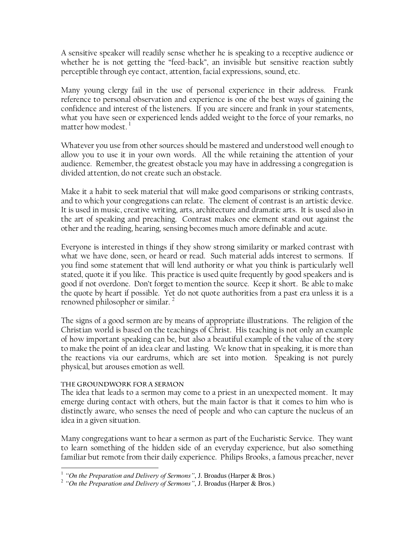A sensitive speaker will readily sense whether he is speaking to a receptive audience or whether he is not getting the "feed-back", an invisible but sensitive reaction subtly perceptible through eye contact, attention, facial expressions, sound, etc.

Many young clergy fail in the use of personal experience in their address. Frank reference to personal observation and experience is one of the best ways of gaining the confidence and interest of the listeners. If you are sincere and frank in your statements, what you have seen or experienced lends added weight to the force of your remarks, no matter how modest. $<sup>1</sup>$ </sup>

Whatever you use from other sources should be mastered and understood well enough to allow you to use it in your own words. All the while retaining the attention of your audience. Remember, the greatest obstacle you may have in addressing a congregation is divided attention, do not create such an obstacle.

Make it a habit to seek material that will make good comparisons or striking contrasts, and to which your congregations can relate. The element of contrast is an artistic device. It is used in music, creative writing, arts, architecture and dramatic arts. It is used also in the art of speaking and preaching. Contrast makes one element stand out against the other and the reading, hearing, sensing becomes much amore definable and acute.

Everyone is interested in things if they show strong similarity or marked contrast with what we have done, seen, or heard or read. Such material adds interest to sermons. If you find some statement that will lend authority or what you think is particularly well stated, quote it if you like. This practice is used quite frequently by good speakers and is good if not overdone. Don"t forget to mention the source. Keep it short. Be able to make the quote by heart if possible. Yet do not quote authorities from a past era unless it is a renowned philosopher or similar.

The signs of a good sermon are by means of appropriate illustrations. The religion of the Christian world is based on the teachings of Christ. His teaching is not only an example of how important speaking can be, but also a beautiful example of the value of the story to make the point of an idea clear and lasting. We know that in speaking, it is more than the reactions via our eardrums, which are set into motion. Speaking is not purely physical, but arouses emotion as well.

## THE GROUNDWORK FOR A SERMON

The idea that leads to a sermon may come to a priest in an unexpected moment. It may emerge during contact with others, but the main factor is that it comes to him who is distinctly aware, who senses the need of people and who can capture the nucleus of an idea in a given situation.

Many congregations want to hear a sermon as part of the Eucharistic Service. They want to learn something of the hidden side of an everyday experience, but also something familiar but remote from their daily experience. Philips Brooks, a famous preacher, never

 $\overline{a}$ <sup>1</sup> "On the Preparation and Delivery of Sermons", J. Broadus (Harper & Bros.)

<sup>2</sup> *"On the Preparation and Delivery of Sermons"*, J. Broadus (Harper & Bros.)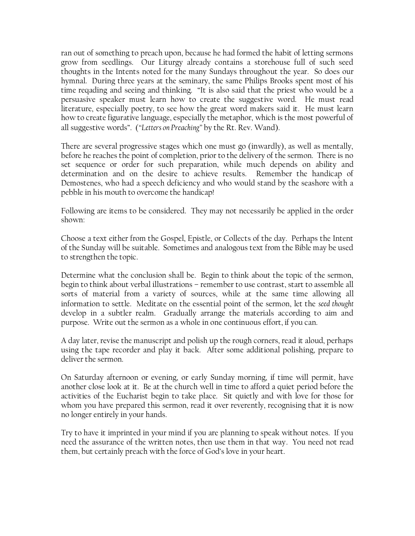ran out of something to preach upon, because he had formed the habit of letting sermons grow from seedlings. Our Liturgy already contains a storehouse full of such seed thoughts in the Intents noted for the many Sundays throughout the year. So does our hymnal. During three years at the seminary, the same Philips Brooks spent most of his time reqading and seeing and thinking. "It is also said that the priest who would be a persuasive speaker must learn how to create the suggestive word. He must read literature, especially poetry, to see how the great word makers said it. He must learn how to create figurative language, especially the metaphor, which is the most powerful of all suggestive words". (*"Letters on Preaching"* by the Rt. Rev. Wand).

There are several progressive stages which one must go (inwardly), as well as mentally, before he reaches the point of completion, prior to the delivery of the sermon. There is no set sequence or order for such preparation, while much depends on ability and determination and on the desire to achieve results. Remember the handicap of Demostenes, who had a speech deficiency and who would stand by the seashore with a pebble in his mouth to overcome the handicap!

Following are items to be considered. They may not necessarily be applied in the order shown:

Choose a text either from the Gospel, Epistle, or Collects of the day. Perhaps the Intent of the Sunday will be suitable. Sometimes and analogous text from the Bible may be used to strengthen the topic.

Determine what the conclusion shall be. Begin to think about the topic of the sermon, begin to think about verbal illustrations – remember to use contrast, start to assemble all sorts of material from a variety of sources, while at the same time allowing all information to settle. Meditate on the essential point of the sermon, let the *seed thought* develop in a subtler realm. Gradually arrange the materials according to aim and purpose. Write out the sermon as a whole in one continuous effort, if you can.

A day later, revise the manuscript and polish up the rough corners, read it aloud, perhaps using the tape recorder and play it back. After some additional polishing, prepare to deliver the sermon.

On Saturday afternoon or evening, or early Sunday morning, if time will permit, have another close look at it. Be at the church well in time to afford a quiet period before the activities of the Eucharist begin to take place. Sit quietly and with love for those for whom you have prepared this sermon, read it over reverently, recognising that it is now no longer entirely in your hands.

Try to have it imprinted in your mind if you are planning to speak without notes. If you need the assurance of the written notes, then use them in that way. You need not read them, but certainly preach with the force of God"s love in your heart.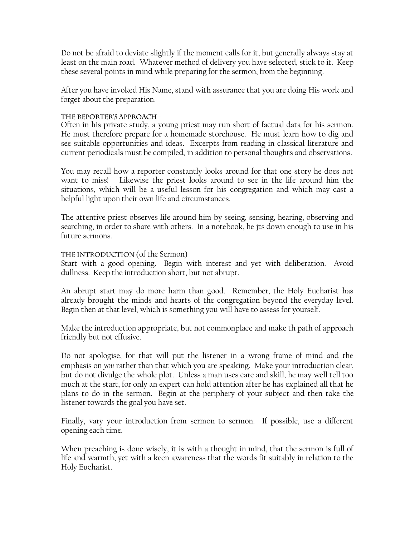Do not be afraid to deviate slightly if the moment calls for it, but generally always stay at least on the main road. Whatever method of delivery you have selected, stick to it. Keep these several points in mind while preparing for the sermon, from the beginning.

After you have invoked His Name, stand with assurance that you are doing His work and forget about the preparation.

## THE REPORTER'S APPROACH

Often in his private study, a young priest may run short of factual data for his sermon. He must therefore prepare for a homemade storehouse. He must learn how to dig and see suitable opportunities and ideas. Excerpts from reading in classical literature and current periodicals must be compiled, in addition to personal thoughts and observations.

You may recall how a reporter constantly looks around for that one story he does not want to miss! Likewise the priest looks around to see in the life around him the situations, which will be a useful lesson for his congregation and which may cast a helpful light upon their own life and circumstances.

The attentive priest observes life around him by seeing, sensing, hearing, observing and searching, in order to share with others. In a notebook, he jts down enough to use in his future sermons.

## THE INTRODUCTION (of the Sermon)

Start with a good opening. Begin with interest and yet with deliberation. Avoid dullness. Keep the introduction short, but not abrupt.

An abrupt start may do more harm than good. Remember, the Holy Eucharist has already brought the minds and hearts of the congregation beyond the everyday level. Begin then at that level, which is something you will have to assess for yourself.

Make the introduction appropriate, but not commonplace and make th path of approach friendly but not effusive.

Do not apologise, for that will put the listener in a wrong frame of mind and the emphasis on *you* rather than that which you are speaking. Make your introduction clear, but do not divulge the whole plot. Unless a man uses care and skill, he may well tell too much at the start, for only an expert can hold attention after he has explained all that he plans to do in the sermon. Begin at the periphery of your subject and then take the listener towards the goal you have set.

Finally, vary your introduction from sermon to sermon. If possible, use a different opening each time.

When preaching is done wisely, it is with a thought in mind, that the sermon is full of life and warmth, yet with a keen awareness that the words fit suitably in relation to the Holy Eucharist.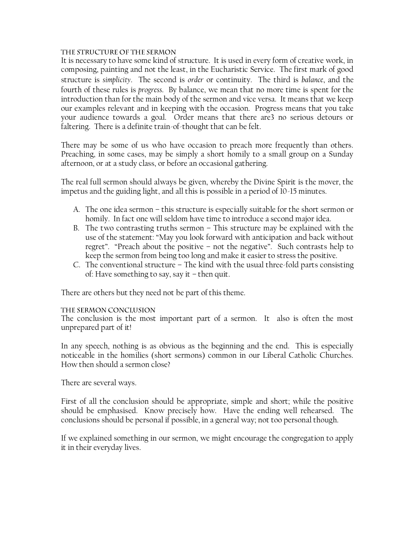## THE STRUCTURE OF THE SERMON

It is necessary to have some kind of structure. It is used in every form of creative work, in composing, painting and not the least, in the Eucharistic Service. The first mark of good structure is *simplicity*. The second is *order* or continuity. The third is *balance*, and the fourth of these rules is *progress*. By balance, we mean that no more time is spent for the introduction than for the main body of the sermon and vice versa. It means that we keep our examples relevant and in keeping with the occasion. Progress means that you take your audience towards a goal. Order means that there are3 no serious detours or faltering. There is a definite train-of-thought that can be felt.

There may be some of us who have occasion to preach more frequently than others. Preaching, in some cases, may be simply a short homily to a small group on a Sunday afternoon, or at a study class, or before an occasional gathering.

The real full sermon should always be given, whereby the Divine Spirit is the mover, the impetus and the guiding light, and all this is possible in a period of 10-15 minutes.

- A. The one idea sermon this structure is especially suitable for the short sermon or homily. In fact one will seldom have time to introduce a second major idea.
- B. The two contrasting truths sermon This structure may be explained with the use of the statement: "May you look forward with anticipation and back without regret". "Preach about the positive – not the negative". Such contrasts help to keep the sermon from being too long and make it easier to stress the positive.
- C. The conventional structure The kind with the usual three-fold parts consisting of: Have something to say, say it – then quit.

There are others but they need not be part of this theme.

#### THE SERMON CONCLUSION

The conclusion is the most important part of a sermon. It also is often the most unprepared part of it!

In any speech, nothing is as obvious as the beginning and the end. This is especially noticeable in the homilies (short sermons) common in our Liberal Catholic Churches. How then should a sermon close?

There are several ways.

First of all the conclusion should be appropriate, simple and short; while the positive should be emphasised. Know precisely how. Have the ending well rehearsed. The conclusions should be personal if possible, in a general way; not too personal though.

If we explained something in our sermon, we might encourage the congregation to apply it in their everyday lives.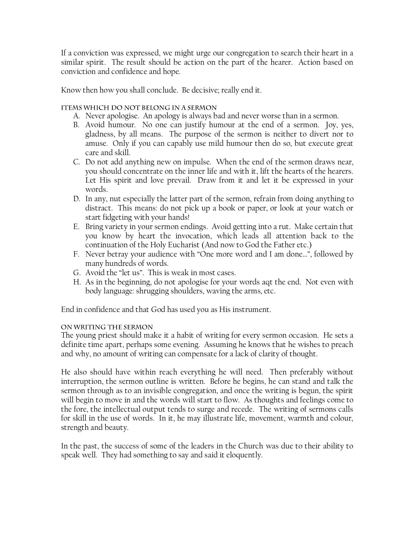If a conviction was expressed, we might urge our congregation to search their heart in a similar spirit. The result should be action on the part of the hearer. Action based on conviction and confidence and hope.

Know then how you shall conclude. Be decisive; really end it.

## ITEMS WHICH DO NOT BELONG IN A SERMON

- A. Never apologise. An apology is always bad and never worse than in a sermon.
- B. Avoid humour. No one can justify humour at the end of a sermon. Joy, yes, gladness, by all means. The purpose of the sermon is neither to divert nor to amuse. Only if you can capably use mild humour then do so, but execute great care and skill.
- C. Do not add anything new on impulse. When the end of the sermon draws near, you should concentrate on the inner life and with it, lift the hearts of the hearers. Let His spirit and love prevail. Draw from it and let it be expressed in your words.
- D. In any, nut especially the latter part of the sermon, refrain from doing anything to distract. This means: do not pick up a book or paper, or look at your watch or start fidgeting with your hands!
- E. Bring variety in your sermon endings. Avoid getting into a rut. Make certain that you know by heart the invocation, which leads all attention back to the continuation of the Holy Eucharist (And now to God the Father etc.)
- F. Never betray your audience with "One more word and I am done…", followed by many hundreds of words.
- G. Avoid the "let us". This is weak in most cases.
- H. As in the beginning, do not apologise for your words aqt the end. Not even with body language: shrugging shoulders, waving the arms, etc.

End in confidence and that God has used you as His instrument.

#### ON WRITING THE SERMON

The young priest should make it a habit of writing for every sermon occasion. He sets a definite time apart, perhaps some evening. Assuming he knows that he wishes to preach and why, no amount of writing can compensate for a lack of clarity of thought.

He also should have within reach everything he will need. Then preferably without interruption, the sermon outline is written. Before he begins, he can stand and talk the sermon through as to an invisible congregation, and once the writing is begun, the spirit will begin to move in and the words will start to flow. As thoughts and feelings come to the fore, the intellectual output tends to surge and recede. The writing of sermons calls for skill in the use of words. In it, he may illustrate life, movement, warmth and colour, strength and beauty.

In the past, the success of some of the leaders in the Church was due to their ability to speak well. They had something to say and said it eloquently.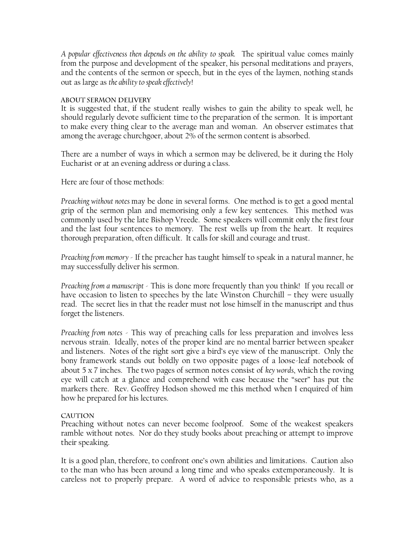*A popular effectiveness then depends on the ability to speak.* The spiritual value comes mainly from the purpose and development of the speaker, his personal meditations and prayers, and the contents of the sermon or speech, but in the eyes of the laymen, nothing stands out as large as *the ability to speak effectively*!

## **ABOUT SERMON DELIVERY**

It is suggested that, if the student really wishes to gain the ability to speak well, he should regularly devote sufficient time to the preparation of the sermon. It is important to make every thing clear to the average man and woman. An observer estimates that among the average churchgoer, about 2% of the sermon content is absorbed.

There are a number of ways in which a sermon may be delivered, be it during the Holy Eucharist or at an evening address or during a class.

Here are four of those methods:

*Preaching without notes* may be done in several forms. One method is to get a good mental grip of the sermon plan and memorising only a few key sentences. This method was commonly used by the late Bishop Vreede. Some speakers will commit only the first four and the last four sentences to memory. The rest wells up from the heart. It requires thorough preparation, often difficult. It calls for skill and courage and trust.

*Preaching from memory* - If the preacher has taught himself to speak in a natural manner, he may successfully deliver his sermon.

*Preaching from a manuscript -* This is done more frequently than you think! If you recall or have occasion to listen to speeches by the late Winston Churchill – they were usually read. The secret lies in that the reader must not lose himself in the manuscript and thus forget the listeners.

*Preaching from notes* - This way of preaching calls for less preparation and involves less nervous strain. Ideally, notes of the proper kind are no mental barrier between speaker and listeners. Notes of the right sort give a bird"s eye view of the manuscript. Only the bony framework stands out boldly on two opposite pages of a loose-leaf notebook of about 5 x 7 inches. The two pages of sermon notes consist of *key words*, which the roving eye will catch at a glance and comprehend with ease because the "seer" has put the markers there. Rev. Geoffrey Hodson showed me this method when I enquired of him how he prepared for his lectures.

## **CAUTION**

Preaching without notes can never become foolproof. Some of the weakest speakers ramble without notes. Nor do they study books about preaching or attempt to improve their speaking.

It is a good plan, therefore, to confront one's own abilities and limitations. Caution also to the man who has been around a long time and who speaks extemporaneously. It is careless not to properly prepare. A word of advice to responsible priests who, as a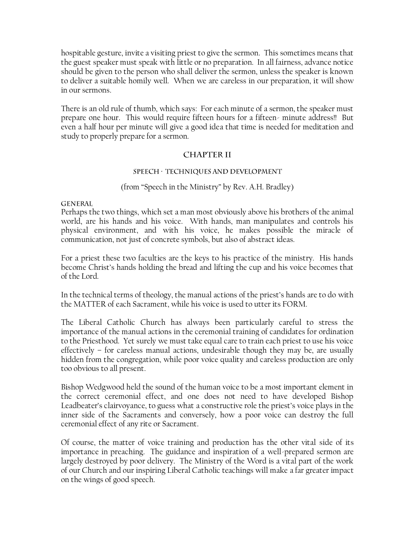hospitable gesture, invite a visiting priest to give the sermon. This sometimes means that the guest speaker must speak with little or no preparation. In all fairness, advance notice should be given to the person who shall deliver the sermon, unless the speaker is known to deliver a suitable homily well. When we are careless in our preparation, it will show in our sermons.

There is an old rule of thumb, which says: For each minute of a sermon, the speaker must prepare one hour. This would require fifteen hours for a fifteen- minute address!! But even a half hour per minute will give a good idea that time is needed for meditation and study to properly prepare for a sermon.

## **CHAPTER II**

## SPEECH · TECHNIQUES AND DEVELOPMENT

## (from "Speech in the Ministry" by Rev. A.H. Bradley)

**GENERAL** 

Perhaps the two things, which set a man most obviously above his brothers of the animal world, are his hands and his voice. With hands, man manipulates and controls his physical environment, and with his voice, he makes possible the miracle of communication, not just of concrete symbols, but also of abstract ideas.

For a priest these two faculties are the keys to his practice of the ministry. His hands become Christ"s hands holding the bread and lifting the cup and his voice becomes that of the Lord.

In the technical terms of theology, the manual actions of the priest"s hands are to do with the MATTER of each Sacrament, while his voice is used to utter its FORM.

The Liberal Catholic Church has always been particularly careful to stress the importance of the manual actions in the ceremonial training of candidates for ordination to the Priesthood. Yet surely we must take equal care to train each priest to use his voice effectively – for careless manual actions, undesirable though they may be, are usually hidden from the congregation, while poor voice quality and careless production are only too obvious to all present.

Bishop Wedgwood held the sound of the human voice to be a most important element in the correct ceremonial effect, and one does not need to have developed Bishop Leadbeater's clairvoyance, to guess what a constructive role the priest's voice plays in the inner side of the Sacraments and conversely, how a poor voice can destroy the full ceremonial effect of any rite or Sacrament.

Of course, the matter of voice training and production has the other vital side of its importance in preaching. The guidance and inspiration of a well-prepared sermon are largely destroyed by poor delivery. The Ministry of the Word is a vital part of the work of our Church and our inspiring Liberal Catholic teachings will make a far greater impact on the wings of good speech.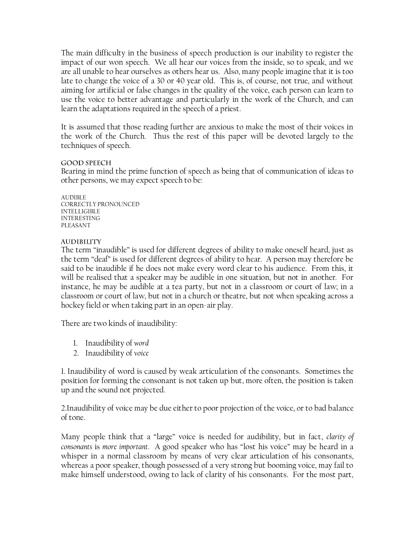The main difficulty in the business of speech production is our inability to register the impact of our won speech. We all hear our voices from the inside, so to speak, and we are all unable to hear ourselves as others hear us. Also, many people imagine that it is too late to change the voice of a 30 or 40 year old. This is, of course, not true, and without aiming for artificial or false changes in the quality of the voice, each person can learn to use the voice to better advantage and particularly in the work of the Church, and can learn the adaptations required in the speech of a priest.

It is assumed that those reading further are anxious to make the most of their voices in the work of the Church. Thus the rest of this paper will be devoted largely to the techniques of speech.

#### **GOOD SPEECH**

Bearing in mind the prime function of speech as being that of communication of ideas to other persons, we may expect speech to be:

AUDIBLE CORRECTLY PRONOUNCED INTELLIGIBLE INTERESTING PLEASANT

#### **AUDIBILITY**

The term "inaudible" is used for different degrees of ability to make oneself heard, just as the term "deaf" is used for different degrees of ability to hear. A person may therefore be said to be inaudible if he does not make every word clear to his audience. From this, it will be realised that a speaker may be audible in one situation, but not in another. For instance, he may be audible at a tea party, but not in a classroom or court of law; in a classroom or court of law, but not in a church or theatre, but not when speaking across a hockey field or when taking part in an open-air play.

There are two kinds of inaudibility:

- 1. Inaudibility of *word*
- 2. Inaudibility of *voice*

1. Inaudibility of word is caused by weak articulation of the consonants. Sometimes the position for forming the consonant is not taken up but, more often, the position is taken up and the sound not projected.

2.Inaudibility of voice may be due either to poor projection of the voice, or to bad balance of tone.

Many people think that a "large" voice is needed for audibility, but in fact, *clarity of consonants* is *more important*. A good speaker who has "lost his voice" may be heard in a whisper in a normal classroom by means of very clear articulation of his consonants, whereas a poor speaker, though possessed of a very strong but booming voice, may fail to make himself understood, owing to lack of clarity of his consonants. For the most part,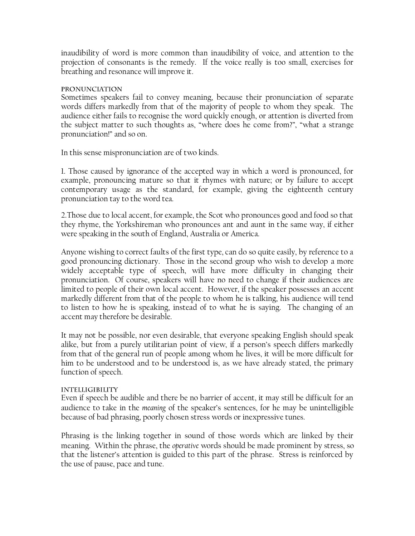inaudibility of word is more common than inaudibility of voice, and attention to the projection of consonants is the remedy. If the voice really is too small, exercises for breathing and resonance will improve it.

#### **PRONUNCIATION**

Sometimes speakers fail to convey meaning, because their pronunciation of separate words differs markedly from that of the majority of people to whom they speak. The audience either fails to recognise the word quickly enough, or attention is diverted from the subject matter to such thoughts as, "where does he come from?", "what a strange pronunciation!" and so on.

In this sense mispronunciation are of two kinds.

1. Those caused by ignorance of the accepted way in which a word is pronounced, for example, pronouncing mature so that it rhymes with nature; or by failure to accept contemporary usage as the standard, for example, giving the eighteenth century pronunciation tay to the word tea.

2.Those due to local accent, for example, the Scot who pronounces good and food so that they rhyme, the Yorkshireman who pronounces ant and aunt in the same way, if either were speaking in the south of England, Australia or America.

Anyone wishing to correct faults of the first type, can do so quite easily, by reference to a good pronouncing dictionary. Those in the second group who wish to develop a more widely acceptable type of speech, will have more difficulty in changing their pronunciation. Of course, speakers will have no need to change if their audiences are limited to people of their own local accent. However, if the speaker possesses an accent markedly different from that of the people to whom he is talking, his audience will tend to listen to how he is speaking, instead of to what he is saying. The changing of an accent may therefore be desirable.

It may not be possible, nor even desirable, that everyone speaking English should speak alike, but from a purely utilitarian point of view, if a person's speech differs markedly from that of the general run of people among whom he lives, it will be more difficult for him to be understood and to be understood is, as we have already stated, the primary function of speech.

## **INTELLIGIBILITY**

Even if speech be audible and there be no barrier of accent, it may still be difficult for an audience to take in the *meaning* of the speaker"s sentences, for he may be unintelligible because of bad phrasing, poorly chosen stress words or inexpressive tunes.

Phrasing is the linking together in sound of those words which are linked by their meaning. Within the phrase, the *operative* words should be made prominent by stress, so that the listener"s attention is guided to this part of the phrase. Stress is reinforced by the use of pause, pace and tune.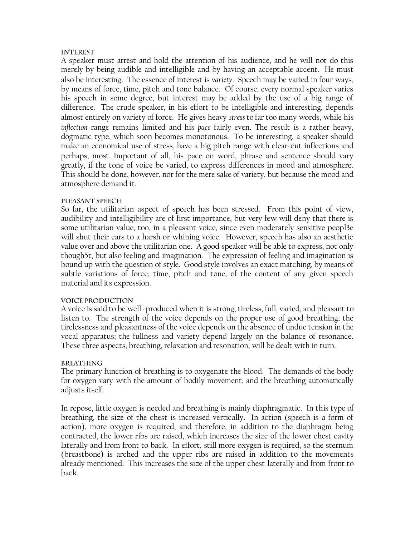#### **INTEREST**

A speaker must arrest and hold the attention of his audience, and he will not do this merely by being audible and intelligible and by having an acceptable accent. He must also be interesting. The essence of interest is *variety*. Speech may be varied in four ways, by means of force, time, pitch and tone balance. Of course, every normal speaker varies his speech in some degree, but interest may be added by the use of a big range of difference. The crude speaker, in his effort to be intelligible and interesting, depends almost entirely on variety of force. He gives heavy *stress* to far too many words, while his *inflection* range remains limited and his *pace* fairly even. The result is a rather heavy, dogmatic type, which soon becomes monotonous. To be interesting, a speaker should make an economical use of stress, have a big pitch range with clear-cut inflections and perhaps, most*.* Important of all, his pace on word, phrase and sentence should vary greatly, if the tone of voice be varied, to express differences in mood and atmosphere. This should be done, however, nor for the mere sake of variety, but because the mood and atmosphere demand it.

#### PLEASANT SPEECH

So far, the utilitarian aspect of speech has been stressed. From this point of view, audibility and intelligibility are of first importance, but very few will deny that there is some utilitarian value, too, in a pleasant voice, since even moderately sensitive peopl3e will shut their ears to a harsh or whining voice. However, speech has also an aesthetic value over and above the utilitarian one. A good speaker will be able to express, not only though5t, but also feeling and imagination. The expression of feeling and imagination is bound up with the question of style. Good style involves an exact matching, by means of subtle variations of force, time, pitch and tone, of the content of any given speech material and its expression.

## VOICE PRODUCTION

A voice is said to be well -produced when it is strong, tireless, full, varied, and pleasant to listen to. The strength of the voice depends on the proper use of good breathing; the tirelessness and pleasantness of the voice depends on the absence of undue tension in the vocal apparatus; the fullness and variety depend largely on the balance of resonance. These three aspects, breathing, relaxation and resonation, will be dealt with in turn.

#### **BREATHING**

The primary function of breathing is to oxygenate the blood. The demands of the body for oxygen vary with the amount of bodily movement, and the breathing automatically adjusts itself.

In repose, little oxygen is needed and breathing is mainly diaphragmatic. In this type of breathing, the size of the chest is increased vertically. In action (speech is a form of action), more oxygen is required, and therefore, in addition to the diaphragm being contracted, the lower ribs are raised, which increases the size of the lower chest cavity laterally and from front to back. In effort, still more oxygen is required, so the sternum (breastbone) is arched and the upper ribs are raised in addition to the movements already mentioned. This increases the size of the upper chest laterally and from front to back.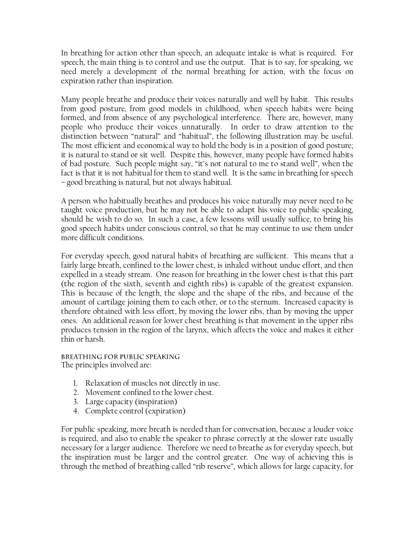In breathing for action other than speech, an adequate intake is what is required. For speech, the main thing is to control and use the output. That is to say, for speaking, we need merely a development of the normal breathing for action, with the focus on expiration rather than inspiration.

Many people breathe and produce their voices naturally and well by habit. This results from good posture, from good models in childhood, when speech habits were being formed, and from absence of any psychological interference. There are, however, many people who produce their voices unnaturally. In order to draw attention to the distinction between "natural" and "habitual", the following illustration may be useful. The most efficient and economical way to hold the body is in a position of good posture; it is natural to stand or sit well. Despite this, however, many people have formed habits of bad posture. Such people might say, "it"s not natural to me to stand well", when the fact is that it is not habitual for them to stand well. It is the same in breathing for speech – good breathing is natural, but not always habitual.

A person who habitually breathes and produces his voice naturally may never need to be taught voice production, but he may not be able to adapt his voice to public speaking, should he wish to do so. In such a case, a few lessons will usually suffice, to bring his good speech habits under conscious control, so that he may continue to use them under more difficult conditions.

For everyday speech, good natural habits of breathing are sufficient. This means that a fairly large breath, confined to the lower chest, is inhaled without undue effort, and then expelled in a steady stream. One reason for breathing in the lower chest is that this part (the region of the sixth, seventh and eighth ribs) is capable of the greatest expansion. This is because of the length, the slope and the shape of the ribs, and because of the amount of cartilage joining them to each other, or to the sternum. Increased capacity is therefore obtained with less effort, by moving the lower ribs, than by moving the upper ones. An additional reason for lower chest breathing is that movement in the upper ribs produces tension in the region of the larynx, which affects the voice and makes it either thin or harsh.

BREATHING FOR PUBLIC SPEAKING The principles involved are:

- 1. Relaxation of muscles not directly in use.
- 2. Movement confined to the lower chest.
- 3. Large capacity (inspiration)
- 4. Complete control (expiration)

For public speaking, more breath is needed than for conversation, because a louder voice is required, and also to enable the speaker to phrase correctly at the slower rate usually necessary for a larger audience. Therefore we need to breathe as for everyday speech, but the inspiration must be larger and the control greater. One way of achieving this is through the method of breathing called "rib reserve", which allows for large capacity, for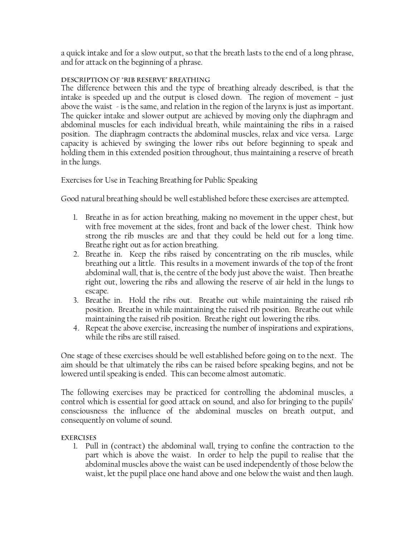a quick intake and for a slow output, so that the breath lasts to the end of a long phrase, and for attack on the beginning of a phrase.

## DESCRIPTION OF "RIB RESERVE" BREATHING

The difference between this and the type of breathing already described, is that the intake is speeded up and the output is closed down. The region of movement – just above the waist - is the same, and relation in the region of the larynx is just as important. The quicker intake and slower output are achieved by moving only the diaphragm and abdominal muscles for each individual breath, while maintaining the ribs in a raised position. The diaphragm contracts the abdominal muscles, relax and vice versa. Large capacity is achieved by swinging the lower ribs out before beginning to speak and holding them in this extended position throughout, thus maintaining a reserve of breath in the lungs.

## Exercises for Use in Teaching Breathing for Public Speaking

Good natural breathing should be well established before these exercises are attempted.

- 1. Breathe in as for action breathing, making no movement in the upper chest, but with free movement at the sides, front and back of the lower chest. Think how strong the rib muscles are and that they could be held out for a long time. Breathe right out as for action breathing.
- 2. Breathe in. Keep the ribs raised by concentrating on the rib muscles, while breathing out a little. This results in a movement inwards of the top of the front abdominal wall, that is, the centre of the body just above the waist. Then breathe right out, lowering the ribs and allowing the reserve of air held in the lungs to escape.
- 3. Breathe in. Hold the ribs out. Breathe out while maintaining the raised rib position. Breathe in while maintaining the raised rib position. Breathe out while maintaining the raised rib position. Breathe right out lowering the ribs.
- 4. Repeat the above exercise, increasing the number of inspirations and expirations, while the ribs are still raised.

One stage of these exercises should be well established before going on to the next. The aim should be that ultimately the ribs can be raised before speaking begins, and not be lowered until speaking is ended. This can become almost automatic.

The following exercises may be practiced for controlling the abdominal muscles, a control which is essential for good attack on sound, and also for bringing to the pupils" consciousness the influence of the abdominal muscles on breath output, and consequently on volume of sound.

## **EXERCISES**

1. Pull in (contract) the abdominal wall, trying to confine the contraction to the part which is above the waist. In order to help the pupil to realise that the abdominal muscles above the waist can be used independently of those below the waist, let the pupil place one hand above and one below the waist and then laugh.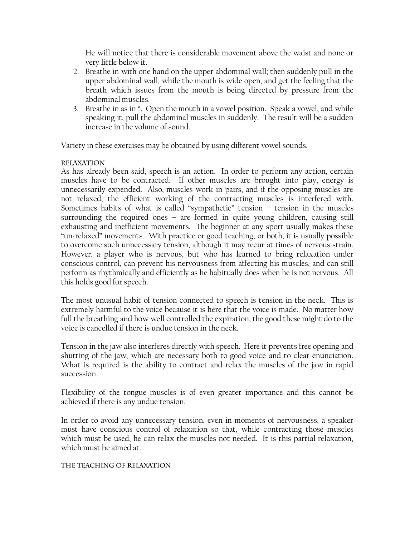He will notice that there is considerable movement above the waist and none or very little below it.

- 2. Breathe in with one hand on the upper abdominal wall; then suddenly pull in the upper abdominal wall, while the mouth is wide open, and get the feeling that the breath which issues from the mouth is being directed by pressure from the abdominal muscles.
- 3. Breathe in as in ". Open the mouth in a vowel position. Speak a vowel, and while speaking it, pull the abdominal muscles in suddenly. The result will be a sudden increase in the volume of sound.

Variety in these exercises may be obtained by using different vowel sounds.

## **RELAXATION**

As has already been said, speech is an action. In order to perform any action, certain muscles have to be contracted. If other muscles are brought into play, energy is unnecessarily expended. Also, muscles work in pairs, and if the opposing muscles are not relaxed, the efficient working of the contracting muscles is interfered with. Sometimes habits of what is called "sympathetic" tension – tension in the muscles surrounding the required ones – are formed in quite young children, causing still exhausting and inefficient movements. The beginner at any sport usually makes these "un-relaxed" movements. With practice or good teaching, or both, it is usually possible to overcome such unnecessary tension, although it may recur at times of nervous strain. However, a player who is nervous, but who has learned to bring relaxation under conscious control, can prevent his nervousness from affecting his muscles, and can still perform as rhythmically and efficiently as he habitually does when he is not nervous. All this holds good for speech.

The most unusual habit of tension connected to speech is tension in the neck. This is extremely harmful to the voice because it is here that the voice is made. No matter how full the breathing and how well controlled the expiration, the good these might do to the voice is cancelled if there is undue tension in the neck.

Tension in the jaw also interferes directly with speech. Here it prevents free opening and shutting of the jaw, which are necessary both to good voice and to clear enunciation. What is required is the ability to contract and relax the muscles of the jaw in rapid succession.

Flexibility of the tongue muscles is of even greater importance and this cannot be achieved if there is any undue tension.

In order to avoid any unnecessary tension, even in moments of nervousness, a speaker must have conscious control of relaxation so that, while contracting those muscles which must be used, he can relax the muscles not needed. It is this partial relaxation, which must be aimed at.

## THE TEACHING OF RELAXATION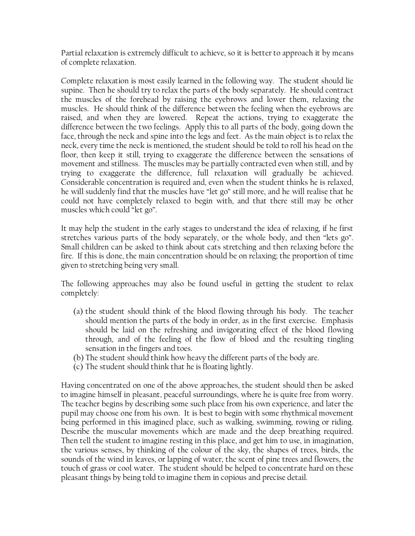Partial relaxation is extremely difficult to achieve, so it is better to approach it by means of complete relaxation.

Complete relaxation is most easily learned in the following way. The student should lie supine. Then he should try to relax the parts of the body separately. He should contract the muscles of the forehead by raising the eyebrows and lower them, relaxing the muscles. He should think of the difference between the feeling when the eyebrows are raised, and when they are lowered. Repeat the actions, trying to exaggerate the difference between the two feelings. Apply this to all parts of the body, going down the face, through the neck and spine into the legs and feet. As the main object is to relax the neck, every time the neck is mentioned, the student should be told to roll his head on the floor, then keep it still, trying to exaggerate the difference between the sensations of movement and stillness. The muscles may be partially contracted even when still, and by trying to exaggerate the difference, full relaxation will gradually be achieved. Considerable concentration is required and, even when the student thinks he is relaxed, he will suddenly find that the muscles have "let go" still more, and he will realise that he could not have completely relaxed to begin with, and that there still may be other muscles which could "let go".

It may help the student in the early stages to understand the idea of relaxing, if he first stretches various parts of the body separately, or the whole body, and then "lets go". Small children can be asked to think about cats stretching and then relaxing before the fire. If this is done, the main concentration should be on relaxing; the proportion of time given to stretching being very small.

The following approaches may also be found useful in getting the student to relax completely:

- (a) the student should think of the blood flowing through his body. The teacher should mention the parts of the body in order, as in the first exercise. Emphasis should be laid on the refreshing and invigorating effect of the blood flowing through, and of the feeling of the flow of blood and the resulting tingling sensation in the fingers and toes.
- (b) The student should think how heavy the different parts of the body are.
- (c) The student should think that he is floating lightly.

Having concentrated on one of the above approaches, the student should then be asked to imagine himself in pleasant, peaceful surroundings, where he is quite free from worry. The teacher begins by describing some such place from his own experience, and later the pupil may choose one from his own. It is best to begin with some rhythmical movement being performed in this imagined place, such as walking, swimming, rowing or riding. Describe the muscular movements which are made and the deep breathing required. Then tell the student to imagine resting in this place, and get him to use, in imagination, the various senses, by thinking of the colour of the sky, the shapes of trees, birds, the sounds of the wind in leaves, or lapping of water, the scent of pine trees and flowers, the touch of grass or cool water. The student should be helped to concentrate hard on these pleasant things by being told to imagine them in copious and precise detail.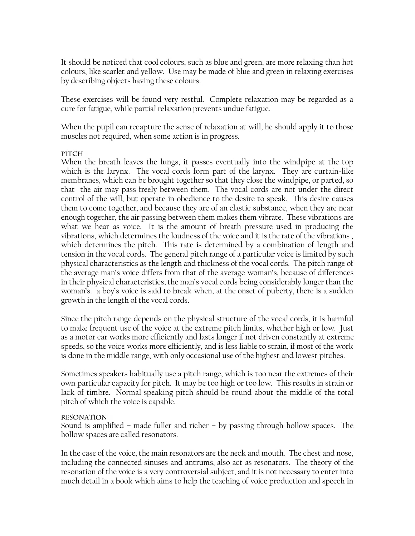It should be noticed that cool colours, such as blue and green, are more relaxing than hot colours, like scarlet and yellow. Use may be made of blue and green in relaxing exercises by describing objects having these colours.

These exercises will be found very restful. Complete relaxation may be regarded as a cure for fatigue, while partial relaxation prevents undue fatigue.

When the pupil can recapture the sense of relaxation at will, he should apply it to those muscles not required, when some action is in progress.

## PITCH

When the breath leaves the lungs, it passes eventually into the windpipe at the top which is the larynx. The vocal cords form part of the larynx. They are curtain-like membranes, which can be brought together so that they close the windpipe, or parted, so that the air may pass freely between them. The vocal cords are not under the direct control of the will, but operate in obedience to the desire to speak. This desire causes them to come together, and because they are of an elastic substance, when they are near enough together, the air passing between them makes them vibrate. These vibrations are what we hear as voice. It is the amount of breath pressure used in producing the vibrations, which determines the loudness of the voice and it is the rate of the vibrations , which determines the pitch. This rate is determined by a combination of length and tension in the vocal cords. The general pitch range of a particular voice is limited by such physical characteristics as the length and thickness of the vocal cords. The pitch range of the average man"s voice differs from that of the average woman"s, because of differences in their physical characteristics, the man"s vocal cords being considerably longer than the woman"s. a boy"s voice is said to break when, at the onset of puberty, there is a sudden growth in the length of the vocal cords.

Since the pitch range depends on the physical structure of the vocal cords, it is harmful to make frequent use of the voice at the extreme pitch limits, whether high or low. Just as a motor car works more efficiently and lasts longer if not driven constantly at extreme speeds, so the voice works more efficiently, and is less liable to strain, if most of the work is done in the middle range, with only occasional use of the highest and lowest pitches.

Sometimes speakers habitually use a pitch range, which is too near the extremes of their own particular capacity for pitch. It may be too high or too low. This results in strain or lack of timbre. Normal speaking pitch should be round about the middle of the total pitch of which the voice is capable.

## **RESONATION**

Sound is amplified – made fuller and richer – by passing through hollow spaces. The hollow spaces are called resonators.

In the case of the voice, the main resonators are the neck and mouth. The chest and nose, including the connected sinuses and antrums, also act as resonators. The theory of the resonation of the voice is a very controversial subject, and it is not necessary to enter into much detail in a book which aims to help the teaching of voice production and speech in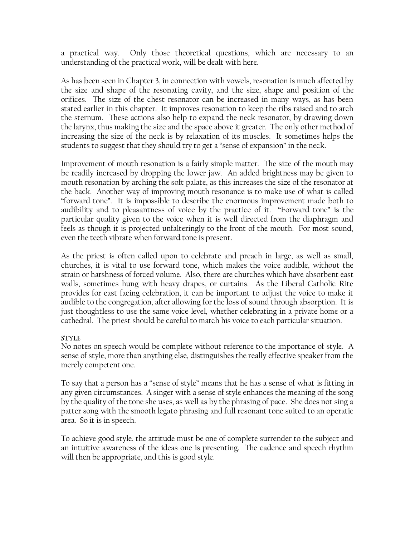a practical way. Only those theoretical questions, which are necessary to an understanding of the practical work, will be dealt with here.

As has been seen in Chapter 3, in connection with vowels, resonation is much affected by the size and shape of the resonating cavity, and the size, shape and position of the orifices. The size of the chest resonator can be increased in many ways, as has been stated earlier in this chapter. It improves resonation to keep the ribs raised and to arch the sternum. These actions also help to expand the neck resonator, by drawing down the larynx, thus making the size and the space above it greater. The only other method of increasing the size of the neck is by relaxation of its muscles. It sometimes helps the students to suggest that they should try to get a "sense of expansion" in the neck.

Improvement of mouth resonation is a fairly simple matter. The size of the mouth may be readily increased by dropping the lower jaw. An added brightness may be given to mouth resonation by arching the soft palate, as this increases the size of the resonator at the back. Another way of improving mouth resonance is to make use of what is called "forward tone". It is impossible to describe the enormous improvement made both to audibility and to pleasantness of voice by the practice of it. "Forward tone" is the particular quality given to the voice when it is well directed from the diaphragm and feels as though it is projected unfalteringly to the front of the mouth. For most sound, even the teeth vibrate when forward tone is present.

As the priest is often called upon to celebrate and preach in large, as well as small, churches, it is vital to use forward tone, which makes the voice audible, without the strain or harshness of forced volume. Also, there are churches which have absorbent east walls, sometimes hung with heavy drapes, or curtains. As the Liberal Catholic Rite provides for east facing celebration, it can be important to adjust the voice to make it audible to the congregation, after allowing for the loss of sound through absorption. It is just thoughtless to use the same voice level, whether celebrating in a private home or a cathedral. The priest should be careful to match his voice to each particular situation.

## **STYLE**

No notes on speech would be complete without reference to the importance of style. A sense of style, more than anything else, distinguishes the really effective speaker from the merely competent one.

To say that a person has a "sense of style" means that he has a sense of what is fitting in any given circumstances. A singer with a sense of style enhances the meaning of the song by the quality of the tone she uses, as well as by the phrasing of pace. She does not sing a patter song with the smooth legato phrasing and full resonant tone suited to an operatic area. So it is in speech.

To achieve good style, the attitude must be one of complete surrender to the subject and an intuitive awareness of the ideas one is presenting. The cadence and speech rhythm will then be appropriate, and this is good style.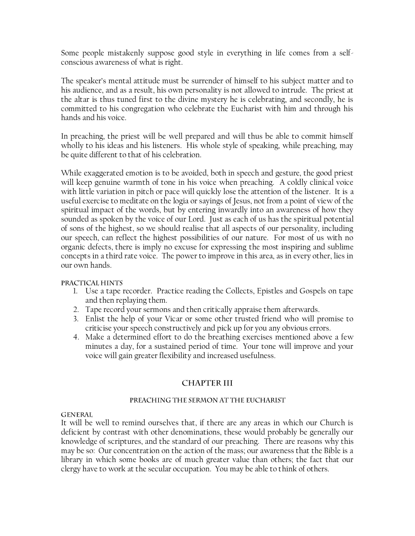Some people mistakenly suppose good style in everything in life comes from a selfconscious awareness of what is right.

The speaker"s mental attitude must be surrender of himself to his subject matter and to his audience, and as a result, his own personality is not allowed to intrude. The priest at the altar is thus tuned first to the divine mystery he is celebrating, and secondly, he is committed to his congregation who celebrate the Eucharist with him and through his hands and his voice.

In preaching, the priest will be well prepared and will thus be able to commit himself wholly to his ideas and his listeners. His whole style of speaking, while preaching, may be quite different to that of his celebration.

While exaggerated emotion is to be avoided, both in speech and gesture, the good priest will keep genuine warmth of tone in his voice when preaching. A coldly clinical voice with little variation in pitch or pace will quickly lose the attention of the listener. It is a useful exercise to meditate on the logia or sayings of Jesus, not from a point of view of the spiritual impact of the words, but by entering inwardly into an awareness of how they sounded as spoken by the voice of our Lord. Just as each of us has the spiritual potential of sons of the highest, so we should realise that all aspects of our personality, including our speech, can reflect the highest possibilities of our nature. For most of us with no organic defects, there is imply no excuse for expressing the most inspiring and sublime concepts in a third rate voice. The power to improve in this area, as in every other, lies in our own hands.

## PRACTICAL HINTS

- 1. Use a tape recorder. Practice reading the Collects, Epistles and Gospels on tape and then replaying them.
- 2. Tape record your sermons and then critically appraise them afterwards.
- 3. Enlist the help of your Vicar or some other trusted friend who will promise to criticise your speech constructively and pick up for you any obvious errors.
- 4. Make a determined effort to do the breathing exercises mentioned above a few minutes a day, for a sustained period of time. Your tone will improve and your voice will gain greater flexibility and increased usefulness.

## **CHAPTER III**

## PREACHING THE SERMON AT THE EUCHARIST

## **GENERAL**

It will be well to remind ourselves that, if there are any areas in which our Church is deficient by contrast with other denominations, these would probably be generally our knowledge of scriptures, and the standard of our preaching. There are reasons why this may be so: Our concentration on the action of the mass; our awareness that the Bible is a library in which some books are of much greater value than others; the fact that our clergy have to work at the secular occupation. You may be able to think of others.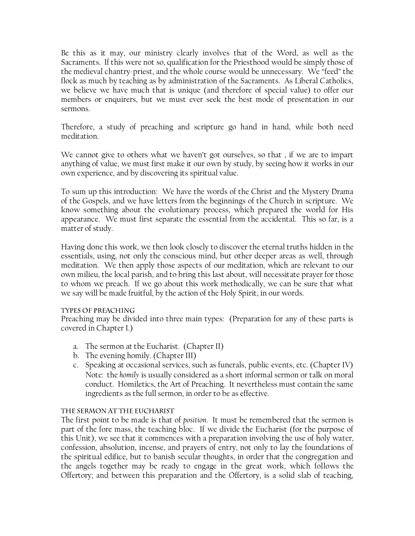Be this as it may, our ministry clearly involves that of the Word, as well as the Sacraments. If this were not so, qualification for the Priesthood would be simply those of the medieval chantry-priest, and the whole course would be unnecessary. We "feed" the flock as much by teaching as by administration of the Sacraments. As Liberal Catholics, we believe we have much that is unique (and therefore of special value) to offer our members or enquirers, but we must ever seek the best mode of presentation in our sermons.

Therefore, a study of preaching and scripture go hand in hand, while both need meditation.

We cannot give to others what we haven't got ourselves, so that, if we are to impart anything of value, we must first make it our own by study, by seeing how it works in our own experience, and by discovering its spiritual value.

To sum up this introduction: We have the words of the Christ and the Mystery Drama of the Gospels, and we have letters from the beginnings of the Church in scripture. We know something about the evolutionary process, which prepared the world for His appearance. We must first separate the essential from the accidental. This so far, is a matter of study.

Having done this work, we then look closely to discover the eternal truths hidden in the essentials, using, not only the conscious mind, but other deeper areas as well, through meditation. We then apply those aspects of our meditation, which are relevant to our own milieu, the local parish, and to bring this last about, will necessitate prayer for those to whom we preach. If we go about this work methodically, we can be sure that what we say will be made fruitful, by the action of the Holy Spirit, in our words.

## TYPES OF PREACHING

Preaching may be divided into three main types: (Preparation for any of these parts is covered in Chapter I.)

- a. The sermon at the Eucharist. (Chapter II)
- b. The evening homily. (Chapter III)
- c. Speaking at occasional services, such as funerals, public events, etc. (Chapter IV) Note: the *homily* is usually considered as a short informal sermon or talk on moral conduct. Homiletics, the Art of Preaching. It nevertheless must contain the same ingredients as the full sermon, in order to be as effective.

## THE SERMON AT THE EUCHARIST

The first point to be made is that of *position*. It must be remembered that the sermon is part of the fore mass, the teaching bloc. If we divide the Eucharist (for the purpose of this Unit), we see that it commences with a preparation involving the use of holy water, confession, absolution, incense, and prayers of entry, not only to lay the foundations of the spiritual edifice, but to banish secular thoughts, in order that the congregation and the angels together may be ready to engage in the great work, which follows the Offertory; and between this preparation and the Offertory, is a solid slab of teaching,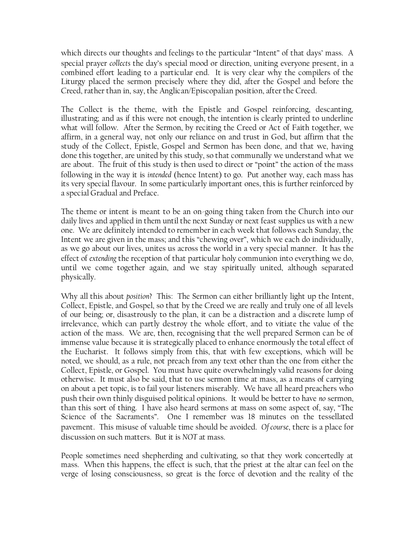which directs our thoughts and feelings to the particular "Intent" of that days' mass. A special prayer *collects* the day"s special mood or direction, uniting everyone present, in a combined effort leading to a particular end. It is very clear why the compilers of the Liturgy placed the sermon precisely where they did, after the Gospel and before the Creed, rather than in, say, the Anglican/Episcopalian position, after the Creed.

The Collect is the theme, with the Epistle and Gospel reinforcing, descanting, illustrating; and as if this were not enough, the intention is clearly printed to underline what will follow. After the Sermon, by reciting the Creed or Act of Faith together, we affirm, in a general way, not only our reliance on and trust in God, but affirm that the study of the Collect, Epistle, Gospel and Sermon has been done, and that we, having done this together, are united by this study, so that communally we understand what we are about. The fruit of this study is then used to direct or "point" the action of the mass following in the way it is *intended* (hence Intent) to go. Put another way, each mass has its very special flavour. In some particularly important ones, this is further reinforced by a special Gradual and Preface.

The theme or intent is meant to be an on-going thing taken from the Church into our daily lives and applied in them until the next Sunday or next feast supplies us with a new one. We are definitely intended to remember in each week that follows each Sunday, the Intent we are given in the mass; and this "chewing over", which we each do individually, as we go about our lives, unites us across the world in a very special manner. It has the effect of *extending* the reception of that particular holy communion into everything we do, until we come together again, and we stay spiritually united, although separated physically.

Why all this about *position*? This: The Sermon can either brilliantly light up the Intent, Collect, Epistle, and Gospel, so that by the Creed we are really and truly one of all levels of our being; or, disastrously to the plan, it can be a distraction and a discrete lump of irrelevance, which can partly destroy the whole effort, and to vitiate the value of the action of the mass. We are, then, recognising that the well prepared Sermon can be of immense value because it is strategically placed to enhance enormously the total effect of the Eucharist. It follows simply from this, that with few exceptions, which will be noted, we should, as a rule, not preach from any text other than the one from either the Collect, Epistle, or Gospel. You must have quite overwhelmingly valid reasons for doing otherwise. It must also be said, that to use sermon time at mass, as a means of carrying on about a pet topic, is to fail your listeners miserably. We have all heard preachers who push their own thinly disguised political opinions. It would be better to have *no* sermon, than this sort of thing. I have also heard sermons at mass on some aspect of, say, "The Science of the Sacraments". One I remember was 18 minutes on the tessellated pavement. This misuse of valuable time should be avoided. *Of course*, there is a place for discussion on such matters. But it is *NOT* at mass.

People sometimes need shepherding and cultivating, so that they work concertedly at mass. When this happens, the effect is such, that the priest at the altar can feel on the verge of losing consciousness, so great is the force of devotion and the reality of the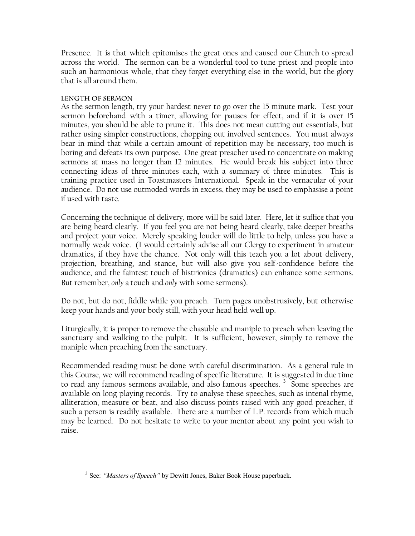Presence. It is that which epitomises the great ones and caused our Church to spread across the world. The sermon can be a wonderful tool to tune priest and people into such an harmonious whole, that they forget everything else in the world, but the glory that is all around them.

## **LENGTH OF SERMON**

 $\overline{a}$ 

As the sermon length, try your hardest never to go over the 15 minute mark. Test your sermon beforehand with a timer, allowing for pauses for effect, and if it is over 15 minutes, you should be able to prune it. This does not mean cutting out essentials, but rather using simpler constructions, chopping out involved sentences. You must always bear in mind that while a certain amount of repetition may be necessary, too much is boring and defeats its own purpose. One great preacher used to concentrate on making sermons at mass no longer than 12 minutes. He would break his subject into three connecting ideas of three minutes each, with a summary of three minutes. This is training practice used in Toastmasters International. Speak in the vernacular of your audience. Do not use outmoded words in excess, they may be used to emphasise a point if used with taste.

Concerning the technique of delivery, more will be said later. Here, let it suffice that you are being heard clearly. If you feel you are not being heard clearly, take deeper breaths and project your voice. Merely speaking louder will do little to help, unless you have a normally weak voice. (I would certainly advise all our Clergy to experiment in amateur dramatics, if they have the chance. Not only will this teach you a lot about delivery, projection, breathing, and stance, but will also give you self-confidence before the audience, and the faintest touch of histrionics (dramatics) can enhance some sermons. But remember, *only* a touch and *only* with some sermons).

Do not, but do not, fiddle while you preach. Turn pages unobstrusively, but otherwise keep your hands and your body still, with your head held well up.

Liturgically, it is proper to remove the chasuble and maniple to preach when leaving the sanctuary and walking to the pulpit. It is sufficient, however, simply to remove the maniple when preaching from the sanctuary.

Recommended reading must be done with careful discrimination. As a general rule in this Course, we will recommend reading of specific literature. It is suggested in due time to read any famous sermons available, and also famous speeches.<sup>3</sup> Some speeches are available on long playing records. Try to analyse these speeches, such as intenal rhyme, alliteration, measure or beat, and also discuss points raised with any good preacher, if such a person is readily available. There are a number of L.P. records from which much may be learned. Do not hesitate to write to your mentor about any point you wish to raise.

<sup>&</sup>lt;sup>3</sup> See: *"Masters of Speech"* by Dewitt Jones, Baker Book House paperback.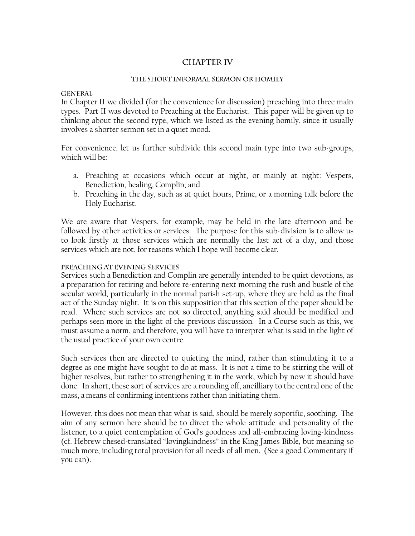## **CHAPTER IV**

#### THE SHORT INFORMAL SERMON OR HOMILY

#### **GENERAL**

In Chapter II we divided (for the convenience for discussion) preaching into three main types. Part II was devoted to Preaching at the Eucharist. This paper will be given up to thinking about the second type, which we listed as the evening homily, since it usually involves a shorter sermon set in a quiet mood.

For convenience, let us further subdivide this second main type into two sub-groups, which will be:

- a. Preaching at occasions which occur at night, or mainly at night: Vespers, Benediction, healing, Complin; and
- b. Preaching in the day, such as at quiet hours, Prime, or a morning talk before the Holy Eucharist.

We are aware that Vespers, for example, may be held in the late afternoon and be followed by other activities or services: The purpose for this sub-division is to allow us to look firstly at those services which are normally the last act of a day, and those services which are not, for reasons which I hope will become clear.

#### PREACHING AT EVENING SERVICES

Services such a Benediction and Complin are generally intended to be quiet devotions, as a preparation for retiring and before re-entering next morning the rush and bustle of the secular world, particularly in the normal parish set-up, where they are held as the final act of the Sunday night. It is on this supposition that this section of the paper should be read. Where such services are not so directed, anything said should be modified and perhaps seen more in the light of the previous discussion. In a Course such as this, we must assume a norm, and therefore, you will have to interpret what is said in the light of the usual practice of your own centre.

Such services then are directed to quieting the mind, rather than stimulating it to a degree as one might have sought to do at mass. It is not a time to be stirring the will of higher resolves, but rather to strengthening it in the work, which by now it should have done. In short, these sort of services are a rounding off, ancilliary to the central one of the mass, a means of confirming intentions rather than initiating them.

However, this does not mean that what is said, should be merely soporific, soothing. The aim of any sermon here should be to direct the whole attitude and personality of the listener, to a quiet contemplation of God"s goodness and all-embracing loving-kindness (cf. Hebrew chesed-translated "lovingkindness" in the King James Bible, but meaning so much more, including total provision for all needs of all men. (See a good Commentary if you can).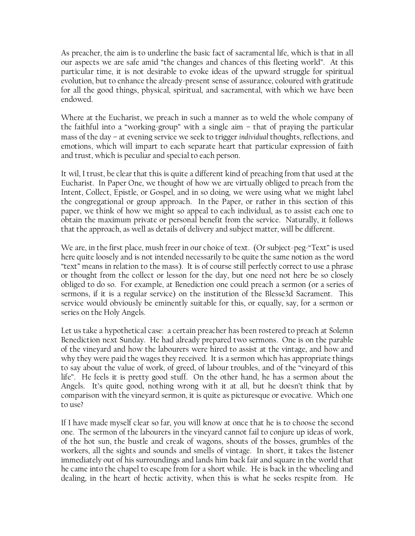As preacher, the aim is to underline the basic fact of sacramental life, which is that in all our aspects we are safe amid "the changes and chances of this fleeting world". At this particular time, it is not desirable to evoke ideas of the upward struggle for spiritual evolution, but to enhance the already-present sense of assurance, coloured with gratitude for all the good things, physical, spiritual, and sacramental, with which we have been endowed.

Where at the Eucharist, we preach in such a manner as to weld the whole company of the faithful into a "working-group" with a single aim – that of praying the particular mass of the day – at evening service we seek to trigger *individual* thoughts, reflections, and emotions, which will impart to each separate heart that particular expression of faith and trust, which is peculiar and special to each person.

It wil, I trust, be clear that this is quite a different kind of preaching from that used at the Eucharist. In Paper One, we thought of how we are virtually obliged to preach from the Intent, Collect, Epistle, or Gospel, and in so doing, we were using what we might label the congregational or group approach. In the Paper, or rather in this section of this paper, we think of how we might so appeal to each individual, as to assist each one to obtain the maximum private or personal benefit from the service. Naturally, it follows that the approach, as well as details of delivery and subject matter, will be different.

We are, in the first place, mush freer in our choice of text. (Or subject-peg-"Text" is used here quite loosely and is not intended necessarily to be quite the same notion as the word "text" means in relation to the mass). It is of course still perfectly correct to use a phrase or thought from the collect or lesson for the day, but one need not here be so closely obliged to do so. For example, at Benediction one could preach a sermon (or a series of sermons, if it is a regular service) on the institution of the Blesse3d Sacrament. This service would obviously be eminently suitable for this, or equally, say, for a sermon or series on the Holy Angels.

Let us take a hypothetical case: a certain preacher has been rostered to preach at Solemn Benediction next Sunday. He had already prepared two sermons. One is on the parable of the vineyard and how the labourers were hired to assist at the vintage, and how and why they were paid the wages they received. It is a sermon which has appropriate things to say about the value of work, of greed, of labour troubles, and of the "vineyard of this life". He feels it is pretty good stuff. On the other hand, he has a sermon about the Angels. It's quite good, nothing wrong with it at all, but he doesn't think that by comparison with the vineyard sermon, it is quite as picturesque or evocative. Which one to use?

If I have made myself clear so far, you will know at once that he is to choose the second one. The sermon of the labourers in the vineyard cannot fail to conjure up ideas of work, of the hot sun, the bustle and creak of wagons, shouts of the bosses, grumbles of the workers, all the sights and sounds and smells of vintage. In short, it takes the listener immediately out of his surroundings and lands him back fair and square in the world that he came into the chapel to escape from for a short while. He is back in the wheeling and dealing, in the heart of hectic activity, when this is what he seeks respite from. He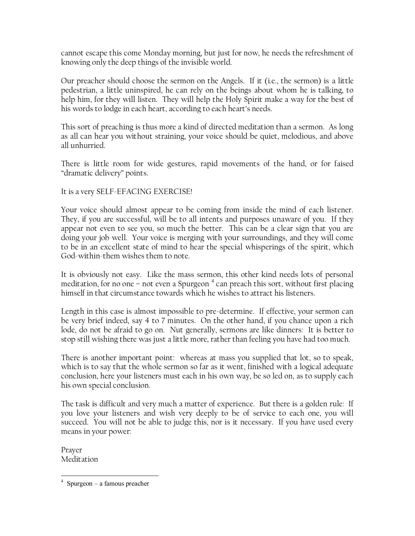cannot escape this come Monday morning, but just for now, he needs the refreshment of knowing only the deep things of the invisible world.

Our preacher should choose the sermon on the Angels. If it (i.e., the sermon) is a little pedestrian, a little uninspired, he can rely on the beings about whom he is talking, to help him, for they will listen. They will help the Holy Spirit make a way for the best of his words to lodge in each heart, according to each heart"s needs.

This sort of preaching is thus more a kind of directed meditation than a sermon. As long as all can hear you without straining, your voice should be quiet, melodious, and above all unhurried.

There is little room for wide gestures, rapid movements of the hand, or for faised "dramatic delivery" points.

It is a very SELF-EFACING EXERCISE!

Your voice should almost appear to be coming from inside the mind of each listener. They, if you are successful, will be to all intents and purposes unaware of you. If they appear not even to see you, so much the better. This can be a clear sign that you are doing your job well. Your voice is merging with your surroundings, and they will come to be in an excellent state of mind to hear the special whisperings of the spirit, which God-within-them wishes them to note.

It is obviously not easy. Like the mass sermon, this other kind needs lots of personal meditation, for no one – not even a Spurgeon  $^4$  can preach this sort, without first placing himself in that circumstance towards which he wishes to attract his listeners.

Length in this case is almost impossible to pre-determine. If effective, your sermon can be very brief indeed, say 4 to 7 minutes. On the other hand, if you chance upon a rich lode, do not be afraid to go on. Nut generally, sermons are like dinners: It is better to stop still wishing there was just a little more, rather than feeling you have had too much.

There is another important point: whereas at mass you supplied that lot, so to speak, which is to say that the whole sermon so far as it went, finished with a logical adequate conclusion, here your listeners must each in his own way, be so led on, as to supply each his own special conclusion.

The task is difficult and very much a matter of experience. But there is a golden rule: If you love your listeners and wish very deeply to be of service to each one, you will succeed. You will not be able to judge this, nor is it necessary. If you have used every means in your power:

Prayer Meditation

 $\overline{a}$ 4 Spurgeon – a famous preacher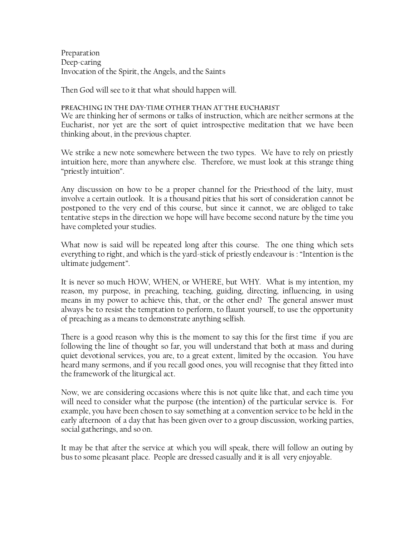Preparation Deep-caring Invocation of the Spirit, the Angels, and the Saints

Then God will see to it that what should happen will.

#### PREACHING IN THE DAY-TIME OTHER THAN AT THE EUCHARIST

We are thinking her of sermons or talks of instruction, which are neither sermons at the Eucharist, nor yet are the sort of quiet introspective meditation that we have been thinking about, in the previous chapter.

We strike a new note somewhere between the two types. We have to rely on priestly intuition here, more than anywhere else. Therefore, we must look at this strange thing "priestly intuition".

Any discussion on how to be a proper channel for the Priesthood of the laity, must involve a certain outlook. It is a thousand pities that his sort of consideration cannot be postponed to the very end of this course, but since it cannot, we are obliged to take tentative steps in the direction we hope will have become second nature by the time you have completed your studies.

What now is said will be repeated long after this course. The one thing which sets everything to right, and which is the yard-stick of priestly endeavour is : "Intention is the ultimate judgement".

It is never so much HOW, WHEN, or WHERE, but WHY. What is my intention, my reason, my purpose, in preaching, teaching, guiding, directing, influencing, in using means in my power to achieve this, that, or the other end? The general answer must always be to resist the temptation to perform, to flaunt yourself, to use the opportunity of preaching as a means to demonstrate anything selfish.

There is a good reason why this is the moment to say this for the first time if you are following the line of thought so far, you will understand that both at mass and during quiet devotional services, you are, to a great extent, limited by the occasion. You have heard many sermons, and if you recall good ones, you will recognise that they fitted into the framework of the liturgical act.

Now, we are considering occasions where this is not quite like that, and each time you will need to consider what the purpose (the intention) of the particular service is. For example, you have been chosen to say something at a convention service to be held in the early afternoon of a day that has been given over to a group discussion, working parties, social gatherings, and so on.

It may be that after the service at which you will speak, there will follow an outing by bus to some pleasant place. People are dressed casually and it is all very enjoyable.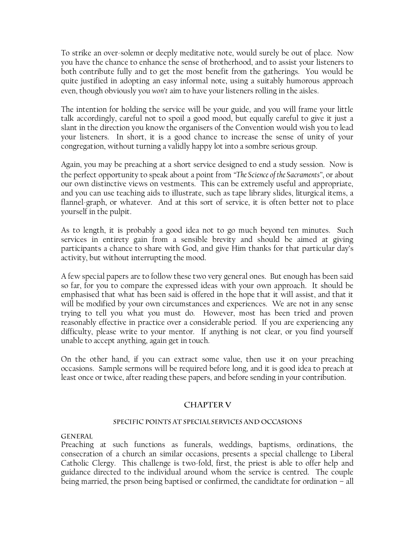To strike an over-solemn or deeply meditative note, would surely be out of place. Now you have the chance to enhance the sense of brotherhood, and to assist your listeners to both contribute fully and to get the most benefit from the gatherings. You would be quite justified in adopting an easy informal note, using a suitably humorous approach even, though obviously you *won't* aim to have your listeners rolling in the aisles.

The intention for holding the service will be your guide, and you will frame your little talk accordingly, careful not to spoil a good mood, but equally careful to give it just a slant in the direction you know the organisers of the Convention would wish you to lead your listeners. In short, it is a good chance to increase the sense of unity of your congregation, without turning a validly happy lot into a sombre serious group.

Again, you may be preaching at a short service designed to end a study session. Now is the perfect opportunity to speak about a point from *"The Science of the Sacraments"*, or about our own distinctive views on vestments. This can be extremely useful and appropriate, and you can use teaching aids to illustrate, such as tape library slides, liturgical items, a flannel-graph, or whatever. And at this sort of service, it is often better not to place yourself in the pulpit.

As to length, it is probably a good idea not to go much beyond ten minutes. Such services in entirety gain from a sensible brevity and should be aimed at giving participants a chance to share with God, and give Him thanks for that particular day"s activity, but without interrupting the mood.

A few special papers are to follow these two very general ones. But enough has been said so far, for you to compare the expressed ideas with your own approach. It should be emphasised that what has been said is offered in the hope that it will assist, and that it will be modified by your own circumstances and experiences. We are not in any sense trying to tell you what you must do. However, most has been tried and proven reasonably effective in practice over a considerable period. If you are experiencing any difficulty, please write to your mentor. If anything is not clear, or you find yourself unable to accept anything, again get in touch.

On the other hand, if you can extract some value, then use it on your preaching occasions. Sample sermons will be required before long, and it is good idea to preach at least once or twice, after reading these papers, and before sending in your contribution.

## **CHAPTER V**

## SPECIFIC POINTS AT SPECIAL SERVICES AND OCCASIONS

## **GENERAL**

Preaching at such functions as funerals, weddings, baptisms, ordinations, the consecration of a church an similar occasions, presents a special challenge to Liberal Catholic Clergy. This challenge is two-fold, first, the priest is able to offer help and guidance directed to the individual around whom the service is centred. The couple being married, the prson being baptised or confirmed, the candidtate for ordination – all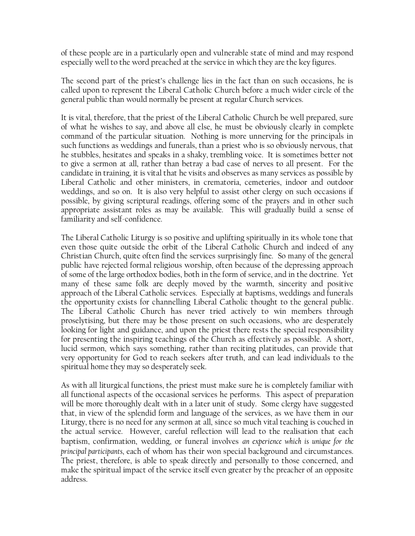of these people are in a particularly open and vulnerable state of mind and may respond especially well to the word preached at the service in which they are the key figures.

The second part of the priest's challenge lies in the fact than on such occasions, he is called upon to represent the Liberal Catholic Church before a much wider circle of the general public than would normally be present at regular Church services.

It is vital, therefore, that the priest of the Liberal Catholic Church be well prepared, sure of what he wishes to say, and above all else, he must be obviously clearly in complete command of the particular situation. Nothing is more unnerving for the principals in such functions as weddings and funerals, than a priest who is so obviously nervous, that he stubbles, hesitates and speaks in a shaky, trembling voice. It is sometimes better not to give a sermon at all, rather than betray a bad case of nerves to all present. For the candidate in training, it is vital that he visits and observes as many services as possible by Liberal Catholic and other ministers, in crematoria, cemeteries, indoor and outdoor weddings, and so on. It is also very helpful to assist other clergy on such occasions if possible, by giving scriptural readings, offering some of the prayers and in other such appropriate assistant roles as may be available. This will gradually build a sense of familiarity and self-confidence.

The Liberal Catholic Liturgy is so positive and uplifting spiritually in its whole tone that even those quite outside the orbit of the Liberal Catholic Church and indeed of any Christian Church, quite often find the services surprisingly fine. So many of the general public have rejected formal religious worship, often because of the depressing approach of some of the large orthodox bodies, both in the form of service, and in the doctrine. Yet many of these same folk are deeply moved by the warmth, sincerity and positive approach of the Liberal Catholic services. Especially at baptisms, weddings and funerals the opportunity exists for channelling Liberal Catholic thought to the general public. The Liberal Catholic Church has never tried actively to win members through proselytising, but there may be those present on such occasions, who are desperately looking for light and guidance, and upon the priest there rests the special responsibility for presenting the inspiring teachings of the Church as effectively as possible. A short, lucid sermon, which says something, rather than reciting platitudes, can provide that very opportunity for God to reach seekers after truth, and can lead individuals to the spiritual home they may so desperately seek.

As with all liturgical functions, the priest must make sure he is completely familiar with all functional aspects of the occasional services he performs. This aspect of preparation will be more thoroughly dealt with in a later unit of study. Some clergy have suggested that, in view of the splendid form and language of the services, as we have them in our Liturgy, there is no need for any sermon at all, since so much vital teaching is couched in the actual service. However, careful reflection will lead to the realisation that each baptism, confirmation, wedding, or funeral involves *an experience which is unique for the principal participants*, each of whom has their won special background and circumstances. The priest, therefore, is able to speak directly and personally to those concerned, and make the spiritual impact of the service itself even greater by the preacher of an opposite address.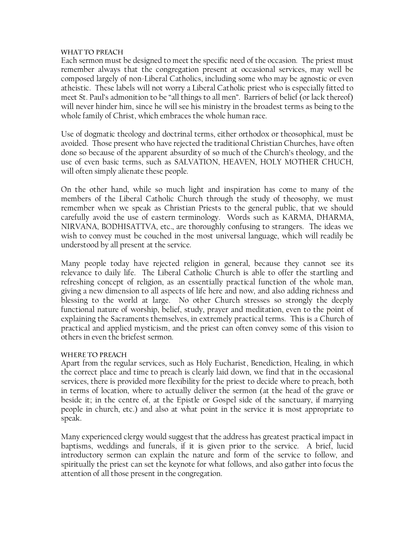#### WHAT TO PREACH

Each sermon must be designed to meet the specific need of the occasion. The priest must remember always that the congregation present at occasional services, may well be composed largely of non-Liberal Catholics, including some who may be agnostic or even atheistic. These labels will not worry a Liberal Catholic priest who is especially fitted to meet St. Paul"s admonition to be "all things to all men". Barriers of belief (or lack thereof) will never hinder him, since he will see his ministry in the broadest terms as being to the whole family of Christ, which embraces the whole human race.

Use of dogmatic theology and doctrinal terms, either orthodox or theosophical, must be avoided. Those present who have rejected the traditional Christian Churches, have often done so because of the apparent absurdity of so much of the Church"s theology, and the use of even basic terms, such as SALVATION, HEAVEN, HOLY MOTHER CHUCH, will often simply alienate these people.

On the other hand, while so much light and inspiration has come to many of the members of the Liberal Catholic Church through the study of theosophy, we must remember when we speak as Christian Priests to the general public, that we should carefully avoid the use of eastern terminology. Words such as KARMA, DHARMA, NIRVANA, BODHISATTVA, etc., are thoroughly confusing to strangers. The ideas we wish to convey must be couched in the most universal language, which will readily be understood by all present at the service.

Many people today have rejected religion in general, because they cannot see its relevance to daily life. The Liberal Catholic Church is able to offer the startling and refreshing concept of religion, as an essentially practical function of the whole man, giving a new dimension to all aspects of life here and now, and also adding richness and blessing to the world at large. No other Church stresses so strongly the deeply functional nature of worship, belief, study, prayer and meditation, even to the point of explaining the Sacraments themselves, in extremely practical terms. This is a Church of practical and applied mysticism, and the priest can often convey some of this vision to others in even the briefest sermon.

## **WHERE TO PREACH**

Apart from the regular services, such as Holy Eucharist, Benediction, Healing, in which the correct place and time to preach is clearly laid down, we find that in the occasional services, there is provided more flexibility for the priest to decide where to preach, both in terms of location, where to actually deliver the sermon (at the head of the grave or beside it; in the centre of, at the Epistle or Gospel side of the sanctuary, if marrying people in church, etc.) and also at what point in the service it is most appropriate to speak.

Many experienced clergy would suggest that the address has greatest practical impact in baptisms, weddings and funerals, if it is given prior to the service. A brief, lucid introductory sermon can explain the nature and form of the service to follow, and spiritually the priest can set the keynote for what follows, and also gather into focus the attention of all those present in the congregation.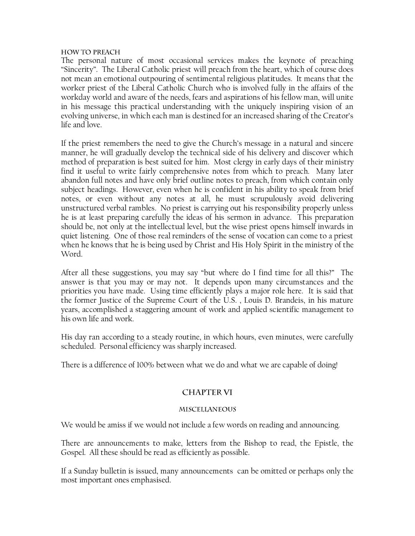#### **HOW TO PREACH**

The personal nature of most occasional services makes the keynote of preaching "Sincerity". The Liberal Catholic priest will preach from the heart, which of course does not mean an emotional outpouring of sentimental religious platitudes. It means that the worker priest of the Liberal Catholic Church who is involved fully in the affairs of the workday world and aware of the needs, fears and aspirations of his fellow man, will unite in his message this practical understanding with the uniquely inspiring vision of an evolving universe, in which each man is destined for an increased sharing of the Creator"s life and love.

If the priest remembers the need to give the Church"s message in a natural and sincere manner, he will gradually develop the technical side of his delivery and discover which method of preparation is best suited for him. Most clergy in early days of their ministry find it useful to write fairly comprehensive notes from which to preach. Many later abandon full notes and have only brief outline notes to preach, from which contain only subject headings. However, even when he is confident in his ability to speak from brief notes, or even without any notes at all, he must scrupulously avoid delivering unstructured verbal rambles. No priest is carrying out his responsibility properly unless he is at least preparing carefully the ideas of his sermon in advance. This preparation should be, not only at the intellectual level, but the wise priest opens himself inwards in quiet listening. One of those real reminders of the sense of vocation can come to a priest when he knows that he is being used by Christ and His Holy Spirit in the ministry of the Word.

After all these suggestions, you may say "but where do I find time for all this?" The answer is that you may or may not. It depends upon many circumstances and the priorities you have made. Using time efficiently plays a major role here. It is said that the former Justice of the Supreme Court of the U.S. , Louis D. Brandeis, in his mature years, accomplished a staggering amount of work and applied scientific management to his own life and work.

His day ran according to a steady routine, in which hours, even minutes, were carefully scheduled. Personal efficiency was sharply increased.

There is a difference of 100% between what we do and what we are capable of doing!

## **CHAPTER VI**

## **MISCELLANEOUS**

We would be amiss if we would not include a few words on reading and announcing.

There are announcements to make, letters from the Bishop to read, the Epistle, the Gospel. All these should be read as efficiently as possible.

If a Sunday bulletin is issued, many announcements can be omitted or perhaps only the most important ones emphasised.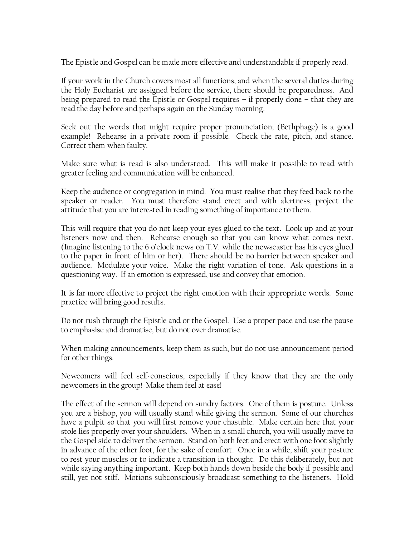The Epistle and Gospel can be made more effective and understandable if properly read.

If your work in the Church covers most all functions, and when the several duties during the Holy Eucharist are assigned before the service, there should be preparedness. And being prepared to read the Epistle or Gospel requires – if properly done – that they are read the day before and perhaps again on the Sunday morning.

Seek out the words that might require proper pronunciation; (Bethphage) is a good example! Rehearse in a private room if possible. Check the rate, pitch, and stance. Correct them when faulty.

Make sure what is read is also understood. This will make it possible to read with greater feeling and communication will be enhanced.

Keep the audience or congregation in mind. You must realise that they feed back to the speaker or reader. You must therefore stand erect and with alertness, project the attitude that you are interested in reading something of importance to them.

This will require that you do not keep your eyes glued to the text. Look up and at your listeners now and then. Rehearse enough so that you can know what comes next. (Imagine listening to the 6 o"clock news on T.V. while the newscaster has his eyes glued to the paper in front of him or her). There should be no barrier between speaker and audience. Modulate your voice. Make the right variation of tone. Ask questions in a questioning way. If an emotion is expressed, use and convey that emotion.

It is far more effective to project the right emotion with their appropriate words. Some practice will bring good results.

Do not rush through the Epistle and or the Gospel. Use a proper pace and use the pause to emphasise and dramatise, but do not over dramatise.

When making announcements, keep them as such, but do not use announcement period for other things.

Newcomers will feel self-conscious, especially if they know that they are the only newcomers in the group! Make them feel at ease!

The effect of the sermon will depend on sundry factors. One of them is posture. Unless you are a bishop, you will usually stand while giving the sermon. Some of our churches have a pulpit so that you will first remove your chasuble. Make certain here that your stole lies properly over your shoulders. When in a small church, you will usually move to the Gospel side to deliver the sermon. Stand on both feet and erect with one foot slightly in advance of the other foot, for the sake of comfort. Once in a while, shift your posture to rest your muscles or to indicate a transition in thought. Do this deliberately, but not while saying anything important. Keep both hands down beside the body if possible and still, yet not stiff. Motions subconsciously broadcast something to the listeners. Hold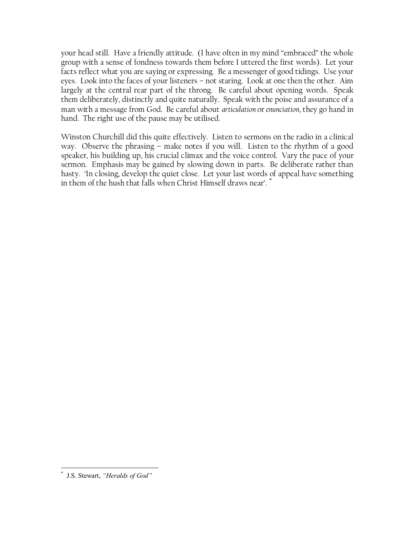your head still. Have a friendly attitude. (I have often in my mind "embraced" the whole group with a sense of fondness towards them before I uttered the first words). Let your facts reflect what you are saying or expressing. Be a messenger of good tidings. Use your eyes. Look into the faces of your listeners – not staring. Look at one then the other. Aim largely at the central rear part of the throng. Be careful about opening words. Speak them deliberately, distinctly and quite naturally. Speak with the poise and assurance of a man with a message from God. Be careful about *articulation* or *enunciation*, they go hand in hand. The right use of the pause may be utilised.

Winston Churchill did this quite effectively. Listen to sermons on the radio in a clinical way. Observe the phrasing – make notes if you will. Listen to the rhythm of a good speaker, his building up, his crucial climax and the voice control. Vary the pace of your sermon. Emphasis may be gained by slowing down in parts. Be deliberate rather than hasty. "In closing, develop the quiet close. Let your last words of appeal have something in them of the hush that falls when Christ Himself draws near'.<sup>\*</sup>

 \* J.S. Stewart, *"Heralds of God"*